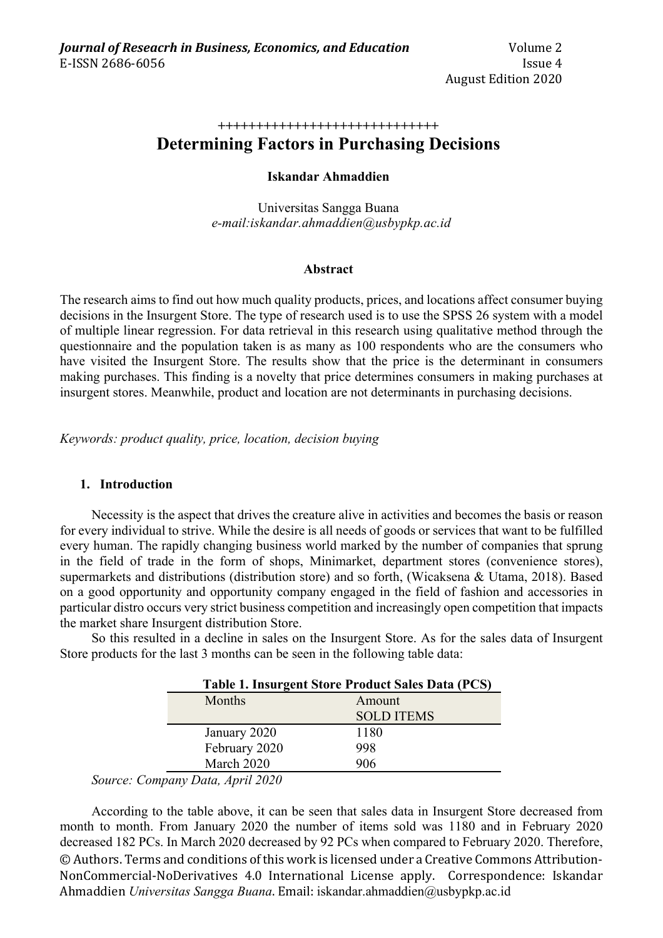#### **+++++++++++++++++++++++++++++**

# **Determining Factors in Purchasing Decisions**

# **Iskandar Ahmaddien**

Universitas Sangga Buana *e-mail:iskandar.ahmaddien@usbypkp.ac.id*

# **Abstract**

The research aims to find out how much quality products, prices, and locations affect consumer buying decisions in the Insurgent Store. The type of research used is to use the SPSS 26 system with a model of multiple linear regression. For data retrieval in this research using qualitative method through the questionnaire and the population taken is as many as 100 respondents who are the consumers who have visited the Insurgent Store. The results show that the price is the determinant in consumers making purchases. This finding is a novelty that price determines consumers in making purchases at insurgent stores. Meanwhile, product and location are not determinants in purchasing decisions.

*Keywords: product quality, price, location, decision buying*

# **1. Introduction**

Necessity is the aspect that drives the creature alive in activities and becomes the basis or reason for every individual to strive. While the desire is all needs of goods or services that want to be fulfilled every human. The rapidly changing business world marked by the number of companies that sprung in the field of trade in the form of shops, Minimarket, department stores (convenience stores), supermarkets and distributions (distribution store) and so forth, (Wicaksena & Utama, 2018). Based on a good opportunity and opportunity company engaged in the field of fashion and accessories in particular distro occurs very strict business competition and increasingly open competition that impacts the market share Insurgent distribution Store.

So this resulted in a decline in sales on the Insurgent Store. As for the sales data of Insurgent Store products for the last 3 months can be seen in the following table data:

| Table 1. Insurgent Store Product Sales Data (PCS) |                   |  |  |
|---------------------------------------------------|-------------------|--|--|
| Months<br>Amount                                  |                   |  |  |
|                                                   | <b>SOLD ITEMS</b> |  |  |
| January 2020                                      | 1180              |  |  |
| February 2020                                     | 998               |  |  |
| March 2020                                        | 906               |  |  |
| 2: Company Data, April 2020                       |                   |  |  |

*Source: Company Data, April 2020*

© Authors. Terms and conditions of this work is licensed under a Creative Commons Attribution-NonCommercial-NoDerivatives 4.0 International License apply. Correspondence: Iskandar Ahmaddien *Universitas Sangga Buana*. Email: iskandar.ahmaddien@usbypkp.ac.id According to the table above, it can be seen that sales data in Insurgent Store decreased from month to month. From January 2020 the number of items sold was 1180 and in February 2020 decreased 182 PCs. In March 2020 decreased by 92 PCs when compared to February 2020. Therefore,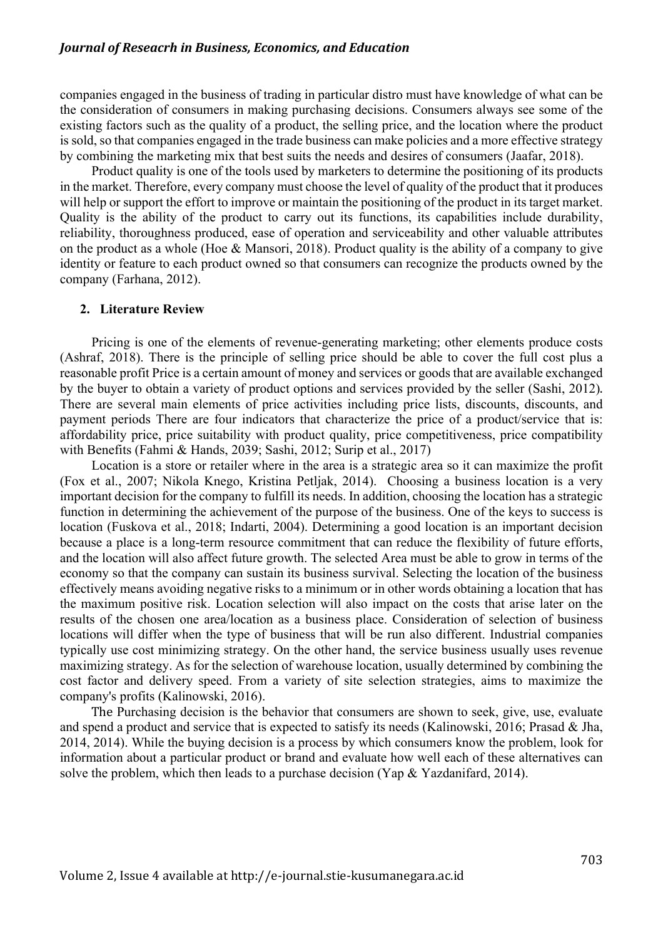companies engaged in the business of trading in particular distro must have knowledge of what can be the consideration of consumers in making purchasing decisions. Consumers always see some of the existing factors such as the quality of a product, the selling price, and the location where the product is sold, so that companies engaged in the trade business can make policies and a more effective strategy by combining the marketing mix that best suits the needs and desires of consumers (Jaafar, 2018).

Product quality is one of the tools used by marketers to determine the positioning of its products in the market. Therefore, every company must choose the level of quality of the product that it produces will help or support the effort to improve or maintain the positioning of the product in its target market. Quality is the ability of the product to carry out its functions, its capabilities include durability, reliability, thoroughness produced, ease of operation and serviceability and other valuable attributes on the product as a whole (Hoe & Mansori, 2018). Product quality is the ability of a company to give identity or feature to each product owned so that consumers can recognize the products owned by the company (Farhana, 2012).

#### **2. Literature Review**

Pricing is one of the elements of revenue-generating marketing; other elements produce costs (Ashraf, 2018). There is the principle of selling price should be able to cover the full cost plus a reasonable profit Price is a certain amount of money and services or goods that are available exchanged by the buyer to obtain a variety of product options and services provided by the seller (Sashi, 2012). There are several main elements of price activities including price lists, discounts, discounts, and payment periods There are four indicators that characterize the price of a product/service that is: affordability price, price suitability with product quality, price competitiveness, price compatibility with Benefits (Fahmi & Hands, 2039; Sashi, 2012; Surip et al., 2017)

Location is a store or retailer where in the area is a strategic area so it can maximize the profit (Fox et al., 2007; Nikola Knego, Kristina Petljak, 2014). Choosing a business location is a very important decision for the company to fulfill its needs. In addition, choosing the location has a strategic function in determining the achievement of the purpose of the business. One of the keys to success is location (Fuskova et al., 2018; Indarti, 2004). Determining a good location is an important decision because a place is a long-term resource commitment that can reduce the flexibility of future efforts, and the location will also affect future growth. The selected Area must be able to grow in terms of the economy so that the company can sustain its business survival. Selecting the location of the business effectively means avoiding negative risks to a minimum or in other words obtaining a location that has the maximum positive risk. Location selection will also impact on the costs that arise later on the results of the chosen one area/location as a business place. Consideration of selection of business locations will differ when the type of business that will be run also different. Industrial companies typically use cost minimizing strategy. On the other hand, the service business usually uses revenue maximizing strategy. As for the selection of warehouse location, usually determined by combining the cost factor and delivery speed. From a variety of site selection strategies, aims to maximize the company's profits (Kalinowski, 2016).

The Purchasing decision is the behavior that consumers are shown to seek, give, use, evaluate and spend a product and service that is expected to satisfy its needs (Kalinowski, 2016; Prasad & Jha, 2014, 2014). While the buying decision is a process by which consumers know the problem, look for information about a particular product or brand and evaluate how well each of these alternatives can solve the problem, which then leads to a purchase decision (Yap & Yazdanifard, 2014).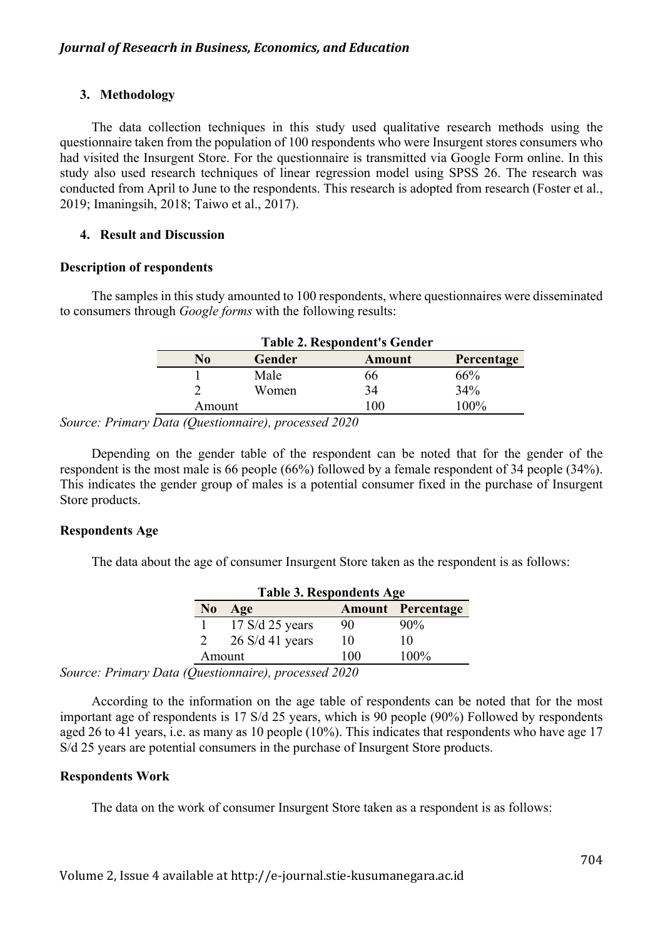# **3. Methodology**

The data collection techniques in this study used qualitative research methods using the questionnaire taken from the population of 100 respondents who were Insurgent stores consumers who had visited the Insurgent Store. For the questionnaire is transmitted via Google Form online. In this study also used research techniques of linear regression model using SPSS 26. The research was conducted from April to June to the respondents. This research is adopted from research (Foster et al., 2019; Imaningsih, 2018; Taiwo et al., 2017).

# **4. Result and Discussion**

## **Description of respondents**

The samples in this study amounted to 100 respondents, where questionnaires were disseminated to consumers through *Google forms* with the following results:

| <b>Table 2. Respondent's Gender</b> |               |               |            |  |  |
|-------------------------------------|---------------|---------------|------------|--|--|
| No                                  | <b>Gender</b> | <b>Amount</b> | Percentage |  |  |
|                                     | Male          | 66            | 66%        |  |  |
|                                     | Women         | 34            | 34%        |  |  |
| Amount                              |               | 100           | 100%       |  |  |

*Source: Primary Data (Questionnaire), processed 2020*

Depending on the gender table of the respondent can be noted that for the gender of the respondent is the most male is 66 people (66%) followed by a female respondent of 34 people (34%). This indicates the gender group of males is a potential consumer fixed in the purchase of Insurgent Store products.

# **Respondents Age**

The data about the age of consumer Insurgent Store taken as the respondent is as follows:

| <b>Table 3. Respondents Age</b> |                   |     |                          |  |
|---------------------------------|-------------------|-----|--------------------------|--|
| N <sub>0</sub>                  | Age               |     | <b>Amount Percentage</b> |  |
|                                 | $17 S/d 25$ years | 90  | $90\%$                   |  |
| 2                               | $26 S/d 41$ years | 10  | 10                       |  |
| Amount                          |                   | 100 | $100\%$                  |  |

*Source: Primary Data (Questionnaire), processed 2020*

According to the information on the age table of respondents can be noted that for the most important age of respondents is 17 S/d 25 years, which is 90 people (90%) Followed by respondents aged 26 to 41 years, i.e. as many as 10 people (10%). This indicates that respondents who have age 17 S/d 25 years are potential consumers in the purchase of Insurgent Store products.

## **Respondents Work**

The data on the work of consumer Insurgent Store taken as a respondent is as follows: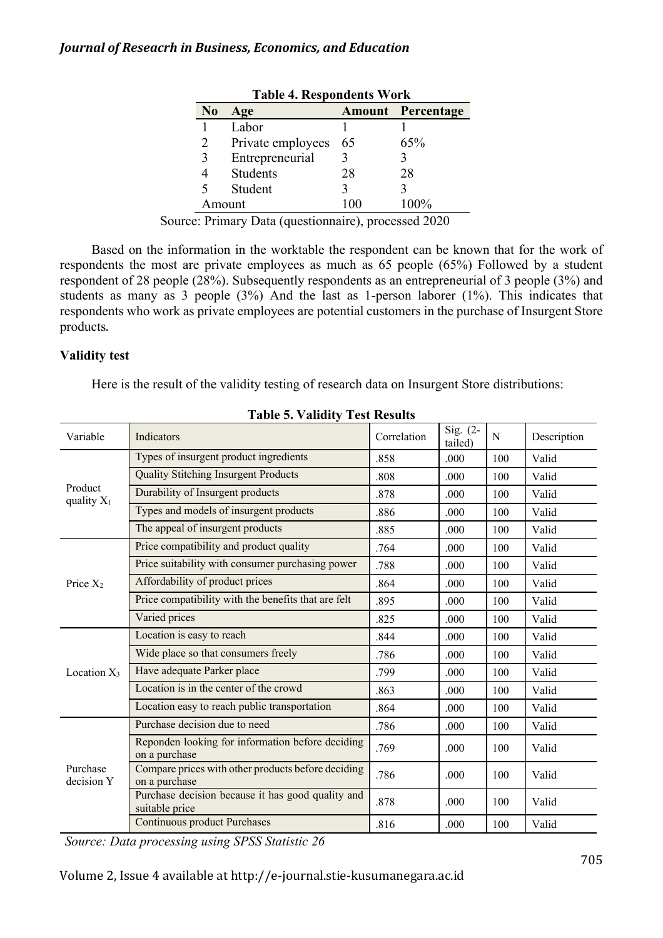| L'avit +. INCSPOTATION VI ULIN |                   |     |                          |  |  |
|--------------------------------|-------------------|-----|--------------------------|--|--|
| No                             | Age               |     | <b>Amount Percentage</b> |  |  |
|                                | Labor             |     |                          |  |  |
|                                | Private employees | 65  | 65%                      |  |  |
| 3                              | Entrepreneurial   |     |                          |  |  |
|                                | Students          | 28  | 28                       |  |  |
|                                | Student           |     |                          |  |  |
|                                | Amount            | 100 | 100%                     |  |  |
|                                |                   |     |                          |  |  |

**Table 4. Respondents Work**

Source: Primary Data (questionnaire), processed 2020

Based on the information in the worktable the respondent can be known that for the work of respondents the most are private employees as much as 65 people (65%) Followed by a student respondent of 28 people (28%). Subsequently respondents as an entrepreneurial of 3 people (3%) and students as many as 3 people (3%) And the last as 1-person laborer (1%). This indicates that respondents who work as private employees are potential customers in the purchase of Insurgent Store products.

# **Validity test**

Here is the result of the validity testing of research data on Insurgent Store distributions:

| Variable                                                                            | Indicators                                                          | Correlation | Sig. (2-<br>tailed) | N   | Description |
|-------------------------------------------------------------------------------------|---------------------------------------------------------------------|-------------|---------------------|-----|-------------|
|                                                                                     | Types of insurgent product ingredients                              | .858        | .000                | 100 | Valid       |
|                                                                                     | <b>Quality Stitching Insurgent Products</b>                         | .808        | .000                | 100 | Valid       |
|                                                                                     | Durability of Insurgent products                                    | .878        | .000                | 100 | Valid       |
|                                                                                     | Types and models of insurgent products                              | .886        | .000                | 100 | Valid       |
| Product<br>quality $X_1$<br>Price $X_2$<br>Location $X_3$<br>Purchase<br>decision Y | The appeal of insurgent products                                    | .885        | .000                | 100 | Valid       |
|                                                                                     | Price compatibility and product quality                             | .764        | .000                | 100 | Valid       |
|                                                                                     | Price suitability with consumer purchasing power                    | .788        | .000                | 100 | Valid       |
|                                                                                     | Affordability of product prices                                     | .864        | .000                | 100 | Valid       |
|                                                                                     | Price compatibility with the benefits that are felt                 | .895        | .000                | 100 | Valid       |
|                                                                                     | Varied prices                                                       | .825        | .000                | 100 | Valid       |
|                                                                                     | Location is easy to reach                                           | .844        | .000                | 100 | Valid       |
|                                                                                     | Wide place so that consumers freely                                 | .786        | .000                | 100 | Valid       |
|                                                                                     | Have adequate Parker place                                          | .799        | .000.               | 100 | Valid       |
|                                                                                     | Location is in the center of the crowd                              | .863        | .000                | 100 | Valid       |
|                                                                                     | Location easy to reach public transportation                        | .864        | .000                | 100 | Valid       |
|                                                                                     | Purchase decision due to need                                       | .786        | .000                | 100 | Valid       |
|                                                                                     | Reponden looking for information before deciding<br>on a purchase   | .769        | .000                | 100 | Valid       |
|                                                                                     | Compare prices with other products before deciding<br>on a purchase | .786        | .000                | 100 | Valid       |
|                                                                                     | Purchase decision because it has good quality and<br>suitable price | .878        | .000                | 100 | Valid       |
|                                                                                     | <b>Continuous product Purchases</b>                                 | .816        | .000                | 100 | Valid       |

**Table 5. Validity Test Results**

*Source: Data processing using SPSS Statistic 26*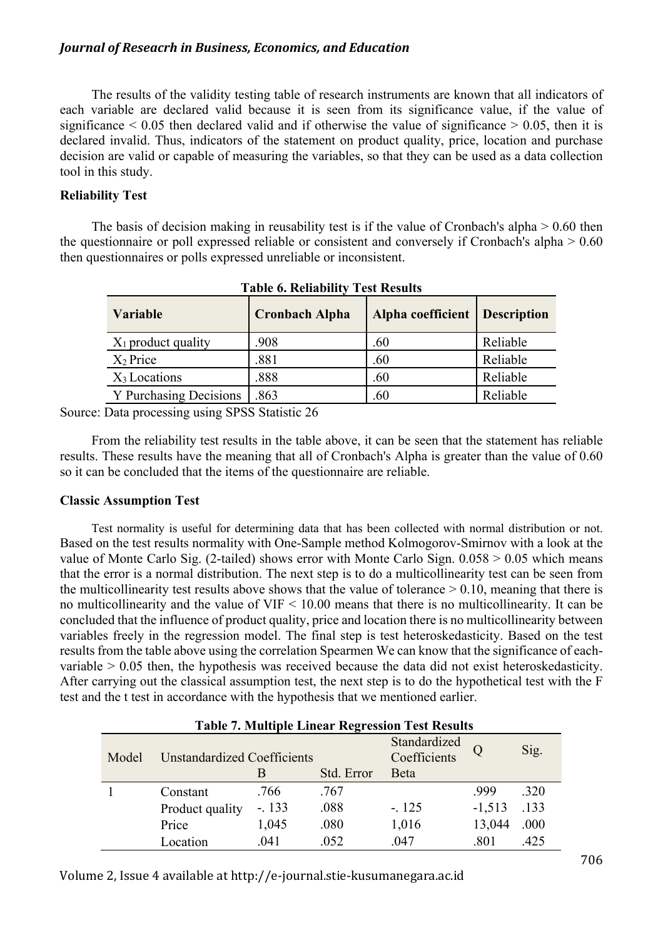The results of the validity testing table of research instruments are known that all indicators of each variable are declared valid because it is seen from its significance value, if the value of significance  $\leq 0.05$  then declared valid and if otherwise the value of significance  $\geq 0.05$ , then it is declared invalid. Thus, indicators of the statement on product quality, price, location and purchase decision are valid or capable of measuring the variables, so that they can be used as a data collection tool in this study.

## **Reliability Test**

The basis of decision making in reusability test is if the value of Cronbach's alpha  $> 0.60$  then the questionnaire or poll expressed reliable or consistent and conversely if Cronbach's alpha > 0.60 then questionnaires or polls expressed unreliable or inconsistent.

| <b>Variable</b>        | <b>Cronbach Alpha</b> | Alpha coefficient   Description |          |
|------------------------|-----------------------|---------------------------------|----------|
| $X_1$ product quality  | .908                  | .60                             | Reliable |
| $X_2$ Price            | .881                  | .60                             | Reliable |
| $X_3$ Locations        | .888                  | .60                             | Reliable |
| Y Purchasing Decisions | .863                  | .60                             | Reliable |

**Table 6. Reliability Test Results**

Source: Data processing using SPSS Statistic 26

From the reliability test results in the table above, it can be seen that the statement has reliable results. These results have the meaning that all of Cronbach's Alpha is greater than the value of 0.60 so it can be concluded that the items of the questionnaire are reliable.

## **Classic Assumption Test**

Test normality is useful for determining data that has been collected with normal distribution or not. Based on the test results normality with One-Sample method Kolmogorov-Smirnov with a look at the value of Monte Carlo Sig. (2-tailed) shows error with Monte Carlo Sign. 0.058 > 0.05 which means that the error is a normal distribution. The next step is to do a multicollinearity test can be seen from the multicollinearity test results above shows that the value of tolerance  $> 0.10$ , meaning that there is no multicollinearity and the value of VIF < 10.00 means that there is no multicollinearity. It can be concluded that the influence of product quality, price and location there is no multicollinearity between variables freely in the regression model. The final step is test heteroskedasticity. Based on the test results from the table above using the correlation Spearmen We can know that the significance of eachvariable  $> 0.05$  then, the hypothesis was received because the data did not exist heteroskedasticity. After carrying out the classical assumption test, the next step is to do the hypothetical test with the F test and the t test in accordance with the hypothesis that we mentioned earlier.

| <b>Table 7. Multiple Linear Regression Test Results</b> |                                    |         |                              |              |          |      |  |
|---------------------------------------------------------|------------------------------------|---------|------------------------------|--------------|----------|------|--|
| Model                                                   | <b>Unstandardized Coefficients</b> |         | Standardized<br>Coefficients |              | Sig.     |      |  |
|                                                         |                                    | В       | Std. Error                   | <b>B</b> eta |          |      |  |
|                                                         | Constant                           | .766    | .767                         |              | .999     | .320 |  |
|                                                         | Product quality                    | $-.133$ | .088                         | $-.125$      | $-1,513$ | .133 |  |
|                                                         | Price                              | 1,045   | .080                         | 1,016        | 13,044   | .000 |  |
|                                                         | Location                           | .041    | .052                         | .047         | .801     | .425 |  |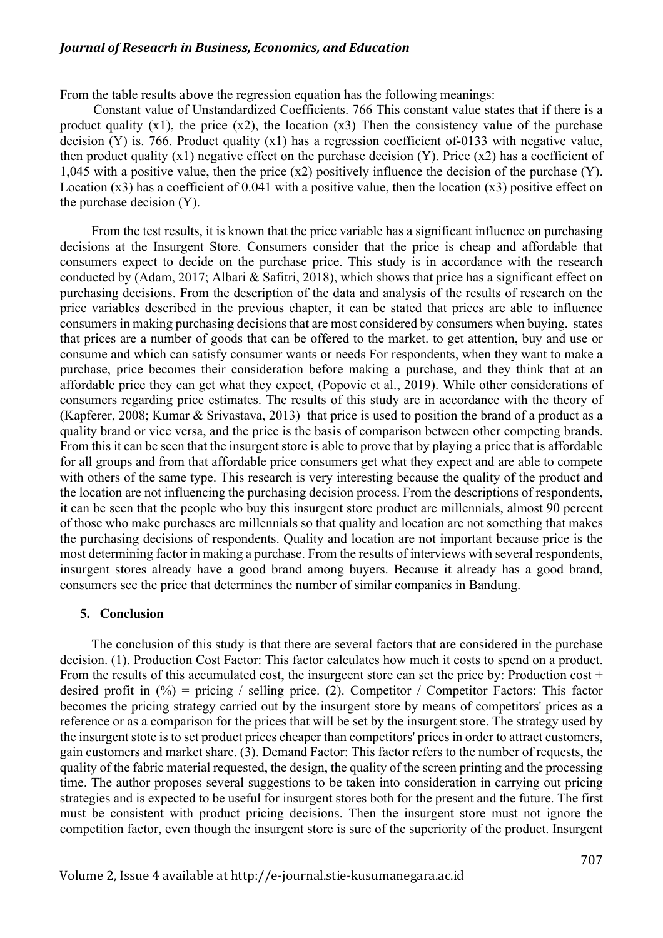From the table results above the regression equation has the following meanings:

Constant value of Unstandardized Coefficients. 766 This constant value states that if there is a product quality  $(x1)$ , the price  $(x2)$ , the location  $(x3)$  Then the consistency value of the purchase decision (Y) is. 766. Product quality (x1) has a regression coefficient of-0133 with negative value, then product quality  $(x1)$  negative effect on the purchase decision  $(Y)$ . Price  $(x2)$  has a coefficient of 1,045 with a positive value, then the price (x2) positively influence the decision of the purchase (Y). Location  $(x3)$  has a coefficient of 0.041 with a positive value, then the location  $(x3)$  positive effect on the purchase decision (Y).

From the test results, it is known that the price variable has a significant influence on purchasing decisions at the Insurgent Store. Consumers consider that the price is cheap and affordable that consumers expect to decide on the purchase price. This study is in accordance with the research conducted by (Adam, 2017; Albari & Safitri, 2018), which shows that price has a significant effect on purchasing decisions. From the description of the data and analysis of the results of research on the price variables described in the previous chapter, it can be stated that prices are able to influence consumers in making purchasing decisions that are most considered by consumers when buying. states that prices are a number of goods that can be offered to the market. to get attention, buy and use or consume and which can satisfy consumer wants or needs For respondents, when they want to make a purchase, price becomes their consideration before making a purchase, and they think that at an affordable price they can get what they expect, (Popovic et al., 2019). While other considerations of consumers regarding price estimates. The results of this study are in accordance with the theory of (Kapferer, 2008; Kumar & Srivastava, 2013) that price is used to position the brand of a product as a quality brand or vice versa, and the price is the basis of comparison between other competing brands. From this it can be seen that the insurgent store is able to prove that by playing a price that is affordable for all groups and from that affordable price consumers get what they expect and are able to compete with others of the same type. This research is very interesting because the quality of the product and the location are not influencing the purchasing decision process. From the descriptions of respondents, it can be seen that the people who buy this insurgent store product are millennials, almost 90 percent of those who make purchases are millennials so that quality and location are not something that makes the purchasing decisions of respondents. Quality and location are not important because price is the most determining factor in making a purchase. From the results of interviews with several respondents, insurgent stores already have a good brand among buyers. Because it already has a good brand, consumers see the price that determines the number of similar companies in Bandung.

#### **5. Conclusion**

The conclusion of this study is that there are several factors that are considered in the purchase decision. (1). Production Cost Factor: This factor calculates how much it costs to spend on a product. From the results of this accumulated cost, the insurgeent store can set the price by: Production cost  $+$ desired profit in  $(\%)$  = pricing / selling price. (2). Competitor / Competitor Factors: This factor becomes the pricing strategy carried out by the insurgent store by means of competitors' prices as a reference or as a comparison for the prices that will be set by the insurgent store. The strategy used by the insurgent stote is to set product prices cheaper than competitors' prices in order to attract customers, gain customers and market share. (3). Demand Factor: This factor refers to the number of requests, the quality of the fabric material requested, the design, the quality of the screen printing and the processing time. The author proposes several suggestions to be taken into consideration in carrying out pricing strategies and is expected to be useful for insurgent stores both for the present and the future. The first must be consistent with product pricing decisions. Then the insurgent store must not ignore the competition factor, even though the insurgent store is sure of the superiority of the product. Insurgent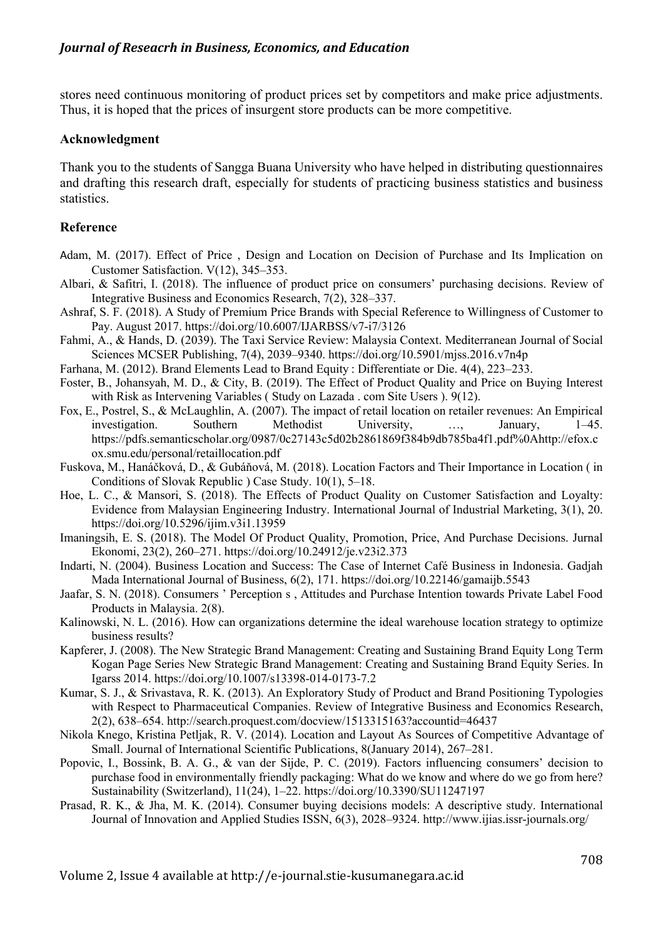stores need continuous monitoring of product prices set by competitors and make price adjustments. Thus, it is hoped that the prices of insurgent store products can be more competitive.

#### **Acknowledgment**

Thank you to the students of Sangga Buana University who have helped in distributing questionnaires and drafting this research draft, especially for students of practicing business statistics and business statistics.

## **Reference**

- Adam, M. (2017). Effect of Price , Design and Location on Decision of Purchase and Its Implication on Customer Satisfaction. V(12), 345–353.
- Albari, & Safitri, I. (2018). The influence of product price on consumers' purchasing decisions. Review of Integrative Business and Economics Research, 7(2), 328–337.
- Ashraf, S. F. (2018). A Study of Premium Price Brands with Special Reference to Willingness of Customer to Pay. August 2017. https://doi.org/10.6007/IJARBSS/v7-i7/3126
- Fahmi, A., & Hands, D. (2039). The Taxi Service Review: Malaysia Context. Mediterranean Journal of Social Sciences MCSER Publishing, 7(4), 2039–9340. https://doi.org/10.5901/mjss.2016.v7n4p
- Farhana, M. (2012). Brand Elements Lead to Brand Equity : Differentiate or Die. 4(4), 223–233.
- Foster, B., Johansyah, M. D., & City, B. (2019). The Effect of Product Quality and Price on Buying Interest with Risk as Intervening Variables ( Study on Lazada . com Site Users ). 9(12).
- Fox, E., Postrel, S., & McLaughlin, A. (2007). The impact of retail location on retailer revenues: An Empirical investigation. Southern Methodist University, …, January, 1–45. https://pdfs.semanticscholar.org/0987/0c27143c5d02b2861869f384b9db785ba4f1.pdf%0Ahttp://efox.c ox.smu.edu/personal/retaillocation.pdf
- Fuskova, M., Hanáčková, D., & Gubáňová, M. (2018). Location Factors and Their Importance in Location ( in Conditions of Slovak Republic ) Case Study. 10(1), 5–18.
- Hoe, L. C., & Mansori, S. (2018). The Effects of Product Quality on Customer Satisfaction and Loyalty: Evidence from Malaysian Engineering Industry. International Journal of Industrial Marketing, 3(1), 20. https://doi.org/10.5296/ijim.v3i1.13959
- Imaningsih, E. S. (2018). The Model Of Product Quality, Promotion, Price, And Purchase Decisions. Jurnal Ekonomi, 23(2), 260–271. https://doi.org/10.24912/je.v23i2.373
- Indarti, N. (2004). Business Location and Success: The Case of Internet Café Business in Indonesia. Gadjah Mada International Journal of Business, 6(2), 171. https://doi.org/10.22146/gamaijb.5543
- Jaafar, S. N. (2018). Consumers ' Perception s , Attitudes and Purchase Intention towards Private Label Food Products in Malaysia. 2(8).
- Kalinowski, N. L. (2016). How can organizations determine the ideal warehouse location strategy to optimize business results?
- Kapferer, J. (2008). The New Strategic Brand Management: Creating and Sustaining Brand Equity Long Term Kogan Page Series New Strategic Brand Management: Creating and Sustaining Brand Equity Series. In Igarss 2014. https://doi.org/10.1007/s13398-014-0173-7.2
- Kumar, S. J., & Srivastava, R. K. (2013). An Exploratory Study of Product and Brand Positioning Typologies with Respect to Pharmaceutical Companies. Review of Integrative Business and Economics Research, 2(2), 638–654. http://search.proquest.com/docview/1513315163?accountid=46437
- Nikola Knego, Kristina Petljak, R. V. (2014). Location and Layout As Sources of Competitive Advantage of Small. Journal of International Scientific Publications, 8(January 2014), 267–281.
- Popovic, I., Bossink, B. A. G., & van der Sijde, P. C. (2019). Factors influencing consumers' decision to purchase food in environmentally friendly packaging: What do we know and where do we go from here? Sustainability (Switzerland), 11(24), 1–22. https://doi.org/10.3390/SU11247197
- Prasad, R. K., & Jha, M. K. (2014). Consumer buying decisions models: A descriptive study. International Journal of Innovation and Applied Studies ISSN, 6(3), 2028–9324. http://www.ijias.issr-journals.org/